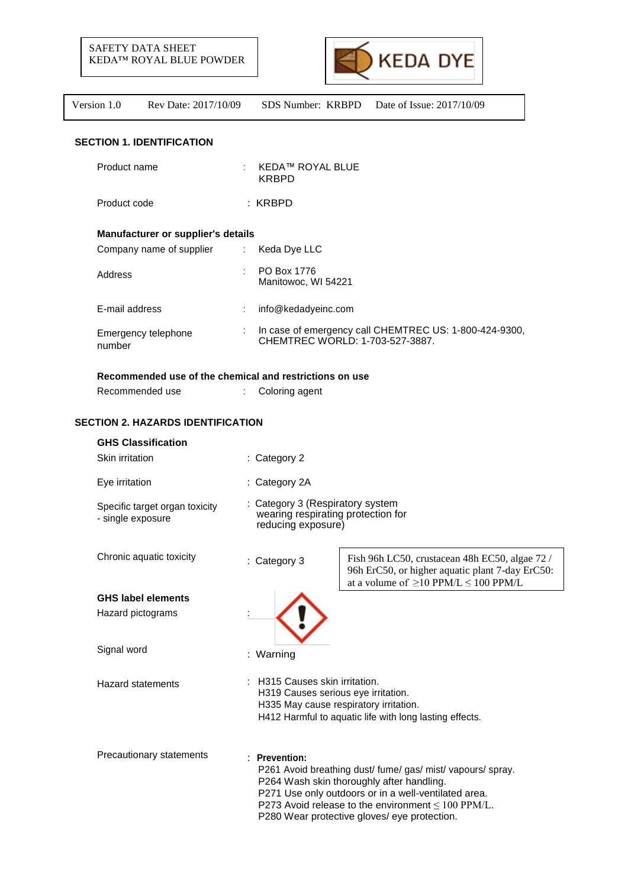

## **SECTION 1. IDENTIFICATION**

| Product name                       |   | <b>KEDA™ ROYAL BLUE</b><br><b>KRBPD</b>                                                   |
|------------------------------------|---|-------------------------------------------------------------------------------------------|
| Product code                       |   | : KRBPD                                                                                   |
| Manufacturer or supplier's details |   |                                                                                           |
| Company name of supplier           | ÷ | Keda Dye LLC                                                                              |
| Address                            | ÷ | PO Box 1776<br>Manitowoc, WI 54221                                                        |
| E-mail address                     | ٠ | info@kedadyeinc.com                                                                       |
| Emergency telephone<br>number      |   | In case of emergency call CHEMTREC US: 1-800-424-9300,<br>CHEMTREC WORLD: 1-703-527-3887. |

# **Recommended use of the chemical and restrictions on use**

| Recommended use |  | Coloring agent |
|-----------------|--|----------------|
|-----------------|--|----------------|

# **SECTION 2. HAZARDS IDENTIFICATION**

| <b>GHS Classification</b>                           |                                                                                                                                                                                                                                                                                              |                                                                                                                                                     |  |  |  |
|-----------------------------------------------------|----------------------------------------------------------------------------------------------------------------------------------------------------------------------------------------------------------------------------------------------------------------------------------------------|-----------------------------------------------------------------------------------------------------------------------------------------------------|--|--|--|
| Skin irritation                                     | : Category 2                                                                                                                                                                                                                                                                                 |                                                                                                                                                     |  |  |  |
| Eye irritation                                      | : Category 2A                                                                                                                                                                                                                                                                                |                                                                                                                                                     |  |  |  |
| Specific target organ toxicity<br>- single exposure | : Category 3 (Respiratory system<br>wearing respirating protection for<br>reducing exposure)                                                                                                                                                                                                 |                                                                                                                                                     |  |  |  |
| Chronic aquatic toxicity                            | : Category 3                                                                                                                                                                                                                                                                                 | Fish 96h LC50, crustacean 48h EC50, algae 72/<br>96h ErC50, or higher aquatic plant 7-day ErC50:<br>at a volume of $\geq$ 10 PPM/L $\leq$ 100 PPM/L |  |  |  |
| <b>GHS label elements</b>                           |                                                                                                                                                                                                                                                                                              |                                                                                                                                                     |  |  |  |
| Hazard pictograms                                   |                                                                                                                                                                                                                                                                                              |                                                                                                                                                     |  |  |  |
| Signal word                                         | : Warning                                                                                                                                                                                                                                                                                    |                                                                                                                                                     |  |  |  |
| <b>Hazard statements</b>                            | H315 Causes skin irritation.<br>H319 Causes serious eye irritation.<br>H335 May cause respiratory irritation.                                                                                                                                                                                | H412 Harmful to aquatic life with long lasting effects.                                                                                             |  |  |  |
| Precautionary statements                            | : Prevention:<br>P261 Avoid breathing dust/ fume/ gas/ mist/ vapours/ spray.<br>P264 Wash skin thoroughly after handling.<br>P271 Use only outdoors or in a well-ventilated area.<br>P273 Avoid release to the environment $\leq 100$ PPM/L.<br>P280 Wear protective gloves/ eye protection. |                                                                                                                                                     |  |  |  |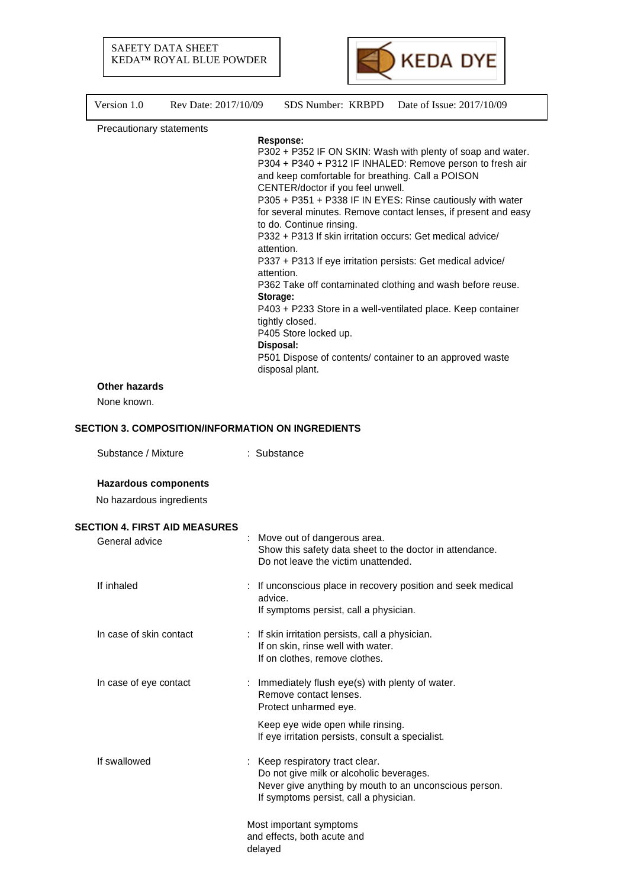# SAFETY DATA SHEET KEDA™ ROYAL BLUE POWDER



| Version 1.0                          | Rev Date: 2017/10/09 SDS Number: KRBPD Date of Issue: 2017/10/09                                                                                                                                                                                                                                                                                                                                                                                                                                                                                                                                                                                                                                                                                                                                                                        |
|--------------------------------------|-----------------------------------------------------------------------------------------------------------------------------------------------------------------------------------------------------------------------------------------------------------------------------------------------------------------------------------------------------------------------------------------------------------------------------------------------------------------------------------------------------------------------------------------------------------------------------------------------------------------------------------------------------------------------------------------------------------------------------------------------------------------------------------------------------------------------------------------|
| Precautionary statements             | Response:<br>P302 + P352 IF ON SKIN: Wash with plenty of soap and water.<br>P304 + P340 + P312 IF INHALED: Remove person to fresh air<br>and keep comfortable for breathing. Call a POISON<br>CENTER/doctor if you feel unwell.<br>P305 + P351 + P338 IF IN EYES: Rinse cautiously with water<br>for several minutes. Remove contact lenses, if present and easy<br>to do. Continue rinsing.<br>P332 + P313 If skin irritation occurs: Get medical advice/<br>attention.<br>P337 + P313 If eye irritation persists: Get medical advice/<br>attention.<br>P362 Take off contaminated clothing and wash before reuse.<br>Storage:<br>P403 + P233 Store in a well-ventilated place. Keep container<br>tightly closed.<br>P405 Store locked up.<br>Disposal:<br>P501 Dispose of contents/ container to an approved waste<br>disposal plant. |
| <b>Other hazards</b>                 |                                                                                                                                                                                                                                                                                                                                                                                                                                                                                                                                                                                                                                                                                                                                                                                                                                         |
| None known.                          |                                                                                                                                                                                                                                                                                                                                                                                                                                                                                                                                                                                                                                                                                                                                                                                                                                         |
|                                      | SECTION 3. COMPOSITION/INFORMATION ON INGREDIENTS                                                                                                                                                                                                                                                                                                                                                                                                                                                                                                                                                                                                                                                                                                                                                                                       |
| Substance / Mixture                  | : Substance                                                                                                                                                                                                                                                                                                                                                                                                                                                                                                                                                                                                                                                                                                                                                                                                                             |
| <b>Hazardous components</b>          |                                                                                                                                                                                                                                                                                                                                                                                                                                                                                                                                                                                                                                                                                                                                                                                                                                         |
| No hazardous ingredients             |                                                                                                                                                                                                                                                                                                                                                                                                                                                                                                                                                                                                                                                                                                                                                                                                                                         |
| <b>SECTION 4. FIRST AID MEASURES</b> |                                                                                                                                                                                                                                                                                                                                                                                                                                                                                                                                                                                                                                                                                                                                                                                                                                         |
| General advice                       | Move out of dangerous area.<br>Show this safety data sheet to the doctor in attendance.<br>Do not leave the victim unattended.                                                                                                                                                                                                                                                                                                                                                                                                                                                                                                                                                                                                                                                                                                          |
| If inhaled                           | If unconscious place in recovery position and seek medical<br>advice.<br>If symptoms persist, call a physician.                                                                                                                                                                                                                                                                                                                                                                                                                                                                                                                                                                                                                                                                                                                         |
| In case of skin contact              | : If skin irritation persists, call a physician.<br>If on skin, rinse well with water.<br>If on clothes, remove clothes.                                                                                                                                                                                                                                                                                                                                                                                                                                                                                                                                                                                                                                                                                                                |
| In case of eye contact               | : Immediately flush eye(s) with plenty of water.<br>Remove contact lenses.<br>Protect unharmed eye.                                                                                                                                                                                                                                                                                                                                                                                                                                                                                                                                                                                                                                                                                                                                     |
|                                      | Keep eye wide open while rinsing.<br>If eye irritation persists, consult a specialist.                                                                                                                                                                                                                                                                                                                                                                                                                                                                                                                                                                                                                                                                                                                                                  |
| If swallowed                         | : Keep respiratory tract clear.<br>Do not give milk or alcoholic beverages.<br>Never give anything by mouth to an unconscious person.<br>If symptoms persist, call a physician.                                                                                                                                                                                                                                                                                                                                                                                                                                                                                                                                                                                                                                                         |
|                                      | Most important symptoms                                                                                                                                                                                                                                                                                                                                                                                                                                                                                                                                                                                                                                                                                                                                                                                                                 |

and effects, both acute and delayed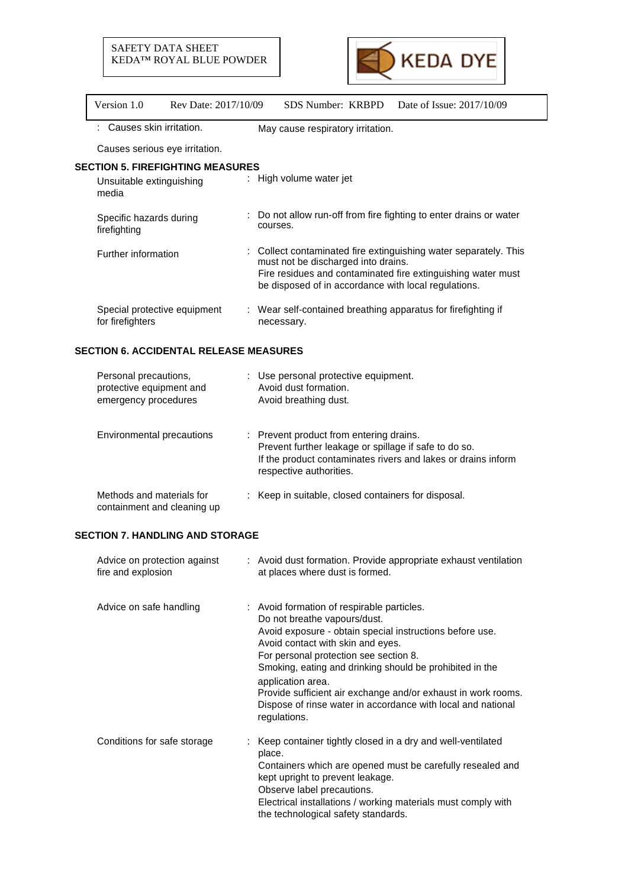

| Version 1.0<br>Rev Date: 2017/10/09                                          |  | SDS Number: KRBPD<br>Date of Issue: 2017/10/09                                                                                                                                                                                |  |  |  |  |  |
|------------------------------------------------------------------------------|--|-------------------------------------------------------------------------------------------------------------------------------------------------------------------------------------------------------------------------------|--|--|--|--|--|
| : Causes skin irritation.                                                    |  | May cause respiratory irritation.                                                                                                                                                                                             |  |  |  |  |  |
| Causes serious eye irritation.                                               |  |                                                                                                                                                                                                                               |  |  |  |  |  |
| <b>SECTION 5. FIREFIGHTING MEASURES</b><br>Unsuitable extinguishing<br>media |  | : High volume water jet                                                                                                                                                                                                       |  |  |  |  |  |
| Specific hazards during<br>firefighting                                      |  | : Do not allow run-off from fire fighting to enter drains or water<br>courses.                                                                                                                                                |  |  |  |  |  |
| Further information                                                          |  | Collect contaminated fire extinguishing water separately. This<br>must not be discharged into drains.<br>Fire residues and contaminated fire extinguishing water must<br>be disposed of in accordance with local regulations. |  |  |  |  |  |
| Special protective equipment<br>for firefighters                             |  | : Wear self-contained breathing apparatus for firefighting if<br>necessary.                                                                                                                                                   |  |  |  |  |  |
| <b>SECTION 6. ACCIDENTAL RELEASE MEASURES</b>                                |  |                                                                                                                                                                                                                               |  |  |  |  |  |

| Personal precautions,<br>protective equipment and<br>emergency procedures | : Use personal protective equipment.<br>Avoid dust formation.<br>Avoid breathing dust.                                                                                                       |
|---------------------------------------------------------------------------|----------------------------------------------------------------------------------------------------------------------------------------------------------------------------------------------|
| Environmental precautions                                                 | : Prevent product from entering drains.<br>Prevent further leakage or spillage if safe to do so.<br>If the product contaminates rivers and lakes or drains inform<br>respective authorities. |
| Methods and materials for<br>containment and cleaning up                  | : Keep in suitable, closed containers for disposal.                                                                                                                                          |

# **SECTION 7. HANDLING AND STORAGE**

| Advice on protection against<br>fire and explosion | : Avoid dust formation. Provide appropriate exhaust ventilation<br>at places where dust is formed.                                                                                                                                                                                                                                                                                                                                                      |
|----------------------------------------------------|---------------------------------------------------------------------------------------------------------------------------------------------------------------------------------------------------------------------------------------------------------------------------------------------------------------------------------------------------------------------------------------------------------------------------------------------------------|
| Advice on safe handling                            | : Avoid formation of respirable particles.<br>Do not breathe vapours/dust.<br>Avoid exposure - obtain special instructions before use.<br>Avoid contact with skin and eyes.<br>For personal protection see section 8.<br>Smoking, eating and drinking should be prohibited in the<br>application area.<br>Provide sufficient air exchange and/or exhaust in work rooms.<br>Dispose of rinse water in accordance with local and national<br>regulations. |
| Conditions for safe storage                        | : Keep container tightly closed in a dry and well-ventilated<br>place.<br>Containers which are opened must be carefully resealed and<br>kept upright to prevent leakage.<br>Observe label precautions.<br>Electrical installations / working materials must comply with<br>the technological safety standards.                                                                                                                                          |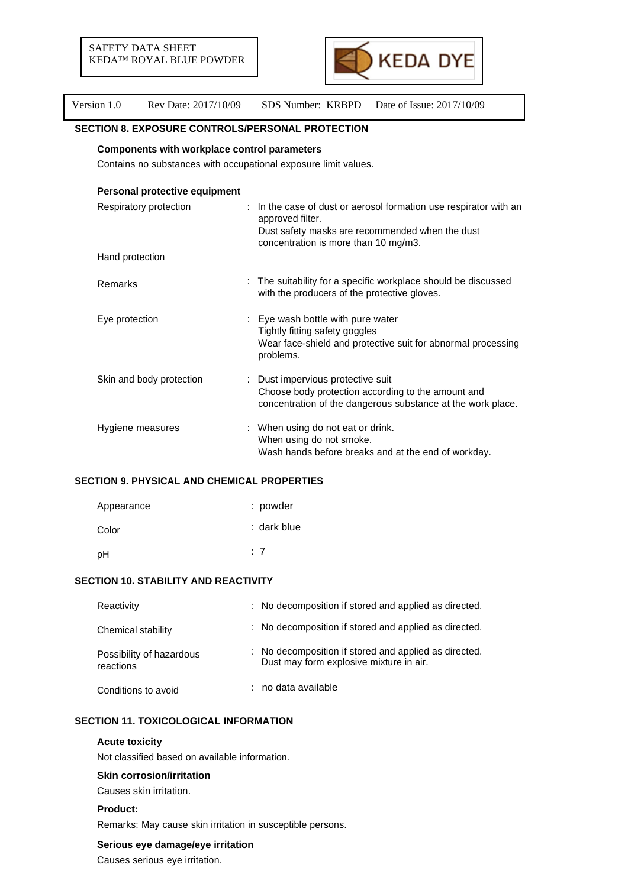

## **SECTION 8. EXPOSURE CONTROLS/PERSONAL PROTECTION**

## **Components with workplace control parameters**

Contains no substances with occupational exposure limit values.

| Personal protective equipment |                                                                                                                                                                                  |
|-------------------------------|----------------------------------------------------------------------------------------------------------------------------------------------------------------------------------|
| Respiratory protection        | : In the case of dust or aerosol formation use respirator with an<br>approved filter.<br>Dust safety masks are recommended when the dust<br>concentration is more than 10 mg/m3. |
| Hand protection               |                                                                                                                                                                                  |
| <b>Remarks</b>                | : The suitability for a specific workplace should be discussed<br>with the producers of the protective gloves.                                                                   |
| Eye protection                | : Eye wash bottle with pure water<br>Tightly fitting safety goggles<br>Wear face-shield and protective suit for abnormal processing<br>problems.                                 |
| Skin and body protection      | : Dust impervious protective suit<br>Choose body protection according to the amount and<br>concentration of the dangerous substance at the work place.                           |
| Hygiene measures              | : When using do not eat or drink.<br>When using do not smoke.<br>Wash hands before breaks and at the end of workday.                                                             |

#### **SECTION 9. PHYSICAL AND CHEMICAL PROPERTIES**

| Appearance | : powder    |
|------------|-------------|
| Color      | : dark blue |
| рH         | :7          |

#### **SECTION 10. STABILITY AND REACTIVITY**

| Reactivity                            | : No decomposition if stored and applied as directed.                                            |
|---------------------------------------|--------------------------------------------------------------------------------------------------|
| Chemical stability                    | : No decomposition if stored and applied as directed.                                            |
| Possibility of hazardous<br>reactions | : No decomposition if stored and applied as directed.<br>Dust may form explosive mixture in air. |
| Conditions to avoid                   | : no data available                                                                              |

## **SECTION 11. TOXICOLOGICAL INFORMATION**

## **Acute toxicity**

Not classified based on available information.

# **Skin corrosion/irritation**

### Causes skin irritation.

## **Product:**

Remarks: May cause skin irritation in susceptible persons.

## **Serious eye damage/eye irritation**

Causes serious eye irritation.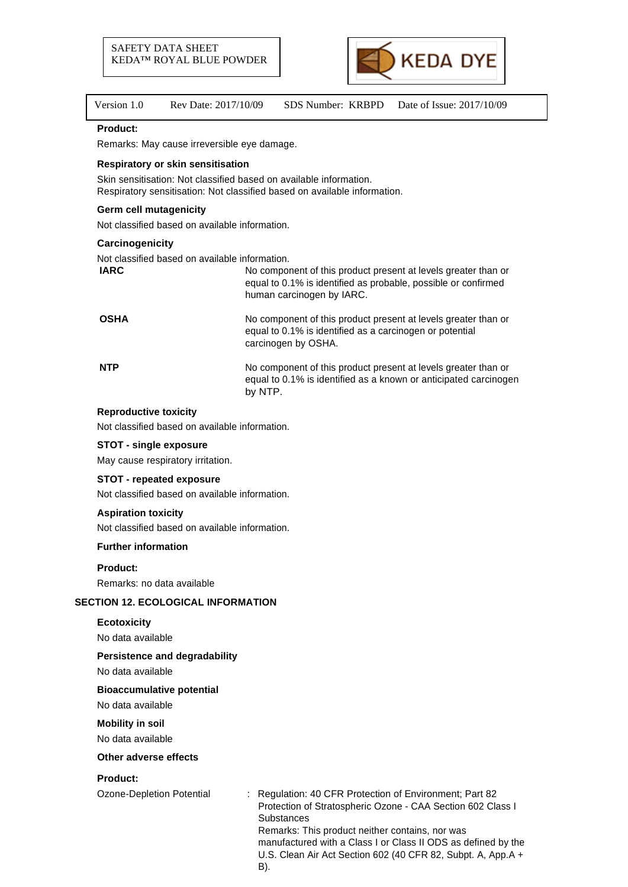

#### **Product:**

Remarks: May cause irreversible eye damage.

### **Respiratory or skin sensitisation**

Skin sensitisation: Not classified based on available information. Respiratory sensitisation: Not classified based on available information.

by NTP.

#### **Germ cell mutagenicity**

Not classified based on available information.

#### **Carcinogenicity**

Not classified based on available information.

| <b>IARC</b> | No component of this product present at levels greater than or<br>equal to 0.1% is identified as probable, possible or confirmed<br>human carcinogen by IARC. |
|-------------|---------------------------------------------------------------------------------------------------------------------------------------------------------------|
| <b>OSHA</b> | No component of this product present at levels greater than or<br>equal to 0.1% is identified as a carcinogen or potential<br>carcinogen by OSHA.             |
| <b>NTP</b>  | No component of this product present at levels greater than or<br>equal to 0.1% is identified as a known or anticipated carcinogen                            |

### **Reproductive toxicity**

Not classified based on available information.

## **STOT - single exposure**

May cause respiratory irritation.

## **STOT - repeated exposure**

Not classified based on available information.

#### **Aspiration toxicity**

Not classified based on available information.

### **Further information**

### **Product:**

Remarks: no data available

## **SECTION 12. ECOLOGICAL INFORMATION**

#### **Ecotoxicity**

No data available

## **Persistence and degradability**

No data available

### **Bioaccumulative potential**

No data available

#### **Mobility in soil**

No data available

### **Other adverse effects**

## **Product:**

Ozone-Depletion Potential : Regulation: 40 CFR Protection of Environment; Part 82 Protection of Stratospheric Ozone - CAA Section 602 Class I **Substances** Remarks: This product neither contains, nor was

manufactured with a Class I or Class II ODS as defined by the U.S. Clean Air Act Section 602 (40 CFR 82, Subpt. A, App.A + B).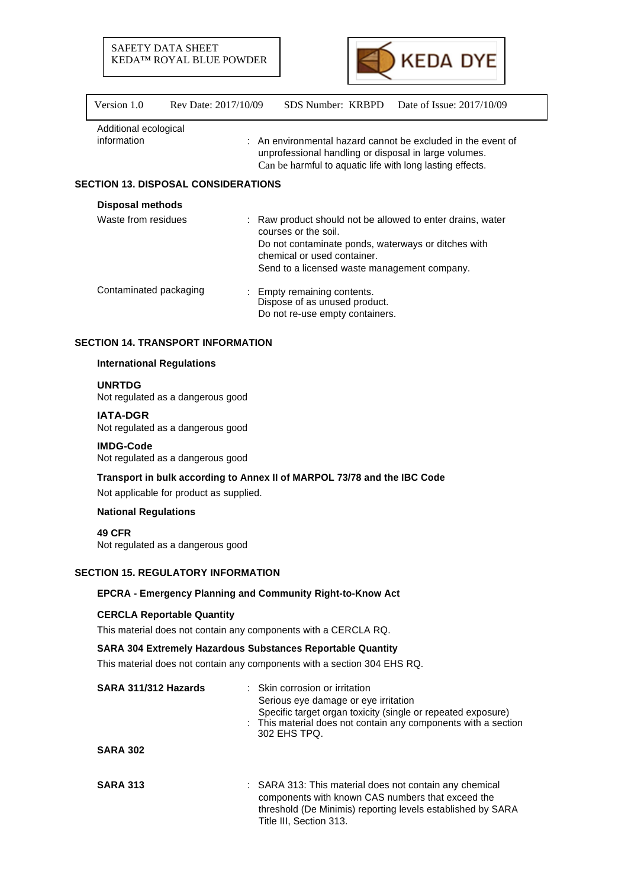

| Version 1.0                          | Rev Date: 2017/10/09                       | SDS Number: KRBPD                                                                                                                                                                  | Date of Issue: 2017/10/09 |  |  |
|--------------------------------------|--------------------------------------------|------------------------------------------------------------------------------------------------------------------------------------------------------------------------------------|---------------------------|--|--|
| Additional ecological<br>information |                                            | : An environmental hazard cannot be excluded in the event of<br>unprofessional handling or disposal in large volumes.<br>Can be harmful to aquatic life with long lasting effects. |                           |  |  |
|                                      | <b>SECTION 13. DISPOSAL CONSIDERATIONS</b> |                                                                                                                                                                                    |                           |  |  |
| <b>Disposal methods</b>              |                                            |                                                                                                                                                                                    |                           |  |  |
| Waste from residues                  |                                            | : Raw product should not be allowed to enter drains, water                                                                                                                         |                           |  |  |

| ,,,aono ,,,,,,,,o,,,,,,, | . Than product chodid hot bo dilonod to ontor dramo, mator<br>courses or the soil.<br>Do not contaminate ponds, waterways or ditches with<br>chemical or used container.<br>Send to a licensed waste management company. |
|--------------------------|--------------------------------------------------------------------------------------------------------------------------------------------------------------------------------------------------------------------------|
| Contaminated packaging   | : Empty remaining contents.<br>Dispose of as unused product.<br>Do not re-use empty containers.                                                                                                                          |

## **SECTION 14. TRANSPORT INFORMATION**

## **International Regulations**

**UNRTDG**

Not regulated as a dangerous good

## **IATA-DGR**

Not regulated as a dangerous good

## **IMDG-Code**

Not regulated as a dangerous good

# **Transport in bulk according to Annex II of MARPOL 73/78 and the IBC Code**

Not applicable for product as supplied.

## **National Regulations**

**49 CFR** Not regulated as a dangerous good

# **SECTION 15. REGULATORY INFORMATION**

# **EPCRA - Emergency Planning and Community Right-to-Know Act**

## **CERCLA Reportable Quantity**

This material does not contain any components with a CERCLA RQ.

## **SARA 304 Extremely Hazardous Substances Reportable Quantity**

This material does not contain any components with a section 304 EHS RQ.

| SARA 311/312 Hazards | : Skin corrosion or irritation<br>Serious eye damage or eye irritation<br>Specific target organ toxicity (single or repeated exposure)<br>: This material does not contain any components with a section<br>302 EHS TPQ. |
|----------------------|--------------------------------------------------------------------------------------------------------------------------------------------------------------------------------------------------------------------------|
| <b>SARA 302</b>      |                                                                                                                                                                                                                          |
| <b>SARA 313</b>      | : SARA 313: This material does not contain any chemical<br>components with known CAS numbers that exceed the<br>threshold (De Minimis) reporting levels established by SARA<br>Title III, Section 313.                   |